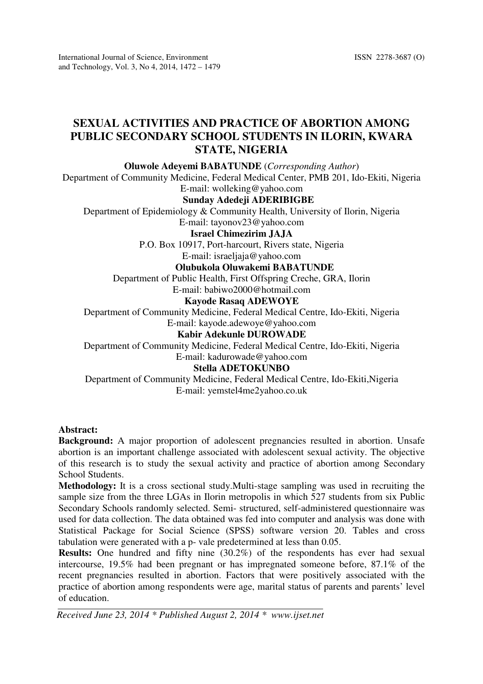# SEXUAL ACTIVITIES AND PRACTICE OF ABORTION AMONG PUBLIC SECONDARY SCHOOL STUDENTS IN ILORIN, KWARA STATE, NIGERIA

Oluwole Adeyemi BABATUNDE (Corresponding Author)

Department of Community Medicine, Federal Medical Center, PMB 201, Ido-Ekiti, Nigeria E-mail: wolleking@yahoo.com

## Sunday Adedeji ADERIBIGBE

Department of Epidemiology & Community Health, University of Ilorin, Nigeria

E-mail: tayonov23@yahoo.com

Israel Chimezirim JAJA

P.O. Box 10917, Port-harcourt, Rivers state, Nigeria

## E-mail: israeljaja@yahoo.com

## Olubukola Oluwakemi BABATUNDE

Department of Public Health, First Offspring Creche, GRA, Ilorin

E-mail: babiwo2000@hotmail.com

## Kayode Rasaq ADEWOYE

Department of Community Medicine, Federal Medical Centre, Ido-Ekiti, Nigeria E-mail: kayode.adewoye@yahoo.com

# Kabir Adekunle DUROWADE

Department of Community Medicine, Federal Medical Centre, Ido-Ekiti, Nigeria E-mail: kadurowade@yahoo.com

#### Stella ADETOKUNBO

Department of Community Medicine, Federal Medical Centre, Ido-Ekiti,Nigeria E-mail: yemstel4me2yahoo.co.uk

#### Abstract:

Background: A major proportion of adolescent pregnancies resulted in abortion. Unsafe abortion is an important challenge associated with adolescent sexual activity. The objective of this research is to study the sexual activity and practice of abortion among Secondary School Students.

Methodology: It is a cross sectional study.Multi-stage sampling was used in recruiting the sample size from the three LGAs in Ilorin metropolis in which 527 students from six Public Secondary Schools randomly selected. Semi- structured, self-administered questionnaire was used for data collection. The data obtained was fed into computer and analysis was done with Statistical Package for Social Science (SPSS) software version 20. Tables and cross tabulation were generated with a p- vale predetermined at less than 0.05.

Results: One hundred and fifty nine (30.2%) of the respondents has ever had sexual intercourse, 19.5% had been pregnant or has impregnated someone before, 87.1% of the recent pregnancies resulted in abortion. Factors that were positively associated with the practice of abortion among respondents were age, marital status of parents and parents' level of education.

Received June 23, 2014 \* Published August 2, 2014 \* www.ijset.net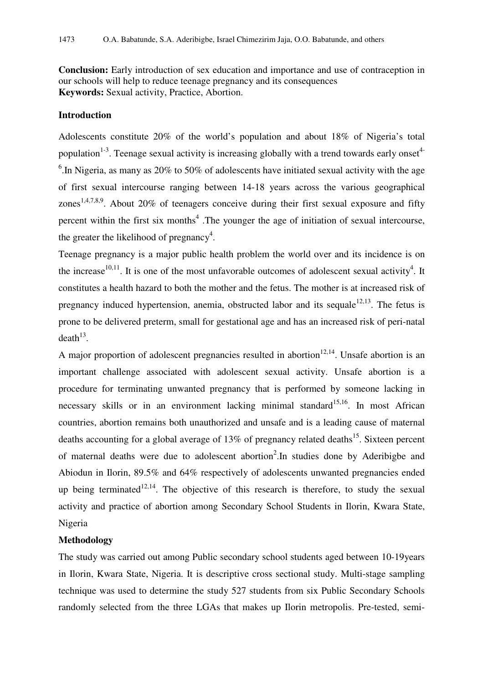Conclusion: Early introduction of sex education and importance and use of contraception in our schools will help to reduce teenage pregnancy and its consequences Keywords: Sexual activity, Practice, Abortion.

### Introduction

Adolescents constitute 20% of the world's population and about 18% of Nigeria's total population<sup>1-3</sup>. Teenage sexual activity is increasing globally with a trend towards early onset<sup>4-</sup> <sup>6</sup>. In Nigeria, as many as 20% to 50% of adolescents have initiated sexual activity with the age of first sexual intercourse ranging between 14-18 years across the various geographical zones<sup>1,4,7,8,9</sup>. About 20% of teenagers conceive during their first sexual exposure and fifty percent within the first six months<sup>4</sup>. The younger the age of initiation of sexual intercourse, the greater the likelihood of pregnancy<sup>4</sup>.

Teenage pregnancy is a major public health problem the world over and its incidence is on the increase<sup>10,11</sup>. It is one of the most unfavorable outcomes of adolescent sexual activity<sup>4</sup>. It constitutes a health hazard to both the mother and the fetus. The mother is at increased risk of pregnancy induced hypertension, anemia, obstructed labor and its sequale<sup>12,13</sup>. The fetus is prone to be delivered preterm, small for gestational age and has an increased risk of peri-natal  $death^{13}$ .

A major proportion of adolescent pregnancies resulted in abortion<sup>12,14</sup>. Unsafe abortion is an important challenge associated with adolescent sexual activity. Unsafe abortion is a procedure for terminating unwanted pregnancy that is performed by someone lacking in necessary skills or in an environment lacking minimal standard<sup>15,16</sup>. In most African countries, abortion remains both unauthorized and unsafe and is a leading cause of maternal deaths accounting for a global average of  $13\%$  of pregnancy related deaths<sup>15</sup>. Sixteen percent of maternal deaths were due to adolescent abortion<sup>2</sup>. In studies done by Aderibigbe and Abiodun in Ilorin, 89.5% and 64% respectively of adolescents unwanted pregnancies ended up being terminated<sup>12,14</sup>. The objective of this research is therefore, to study the sexual activity and practice of abortion among Secondary School Students in Ilorin, Kwara State, Nigeria

#### Methodology

The study was carried out among Public secondary school students aged between 10-19years in Ilorin, Kwara State, Nigeria. It is descriptive cross sectional study. Multi-stage sampling technique was used to determine the study 527 students from six Public Secondary Schools randomly selected from the three LGAs that makes up Ilorin metropolis. Pre-tested, semi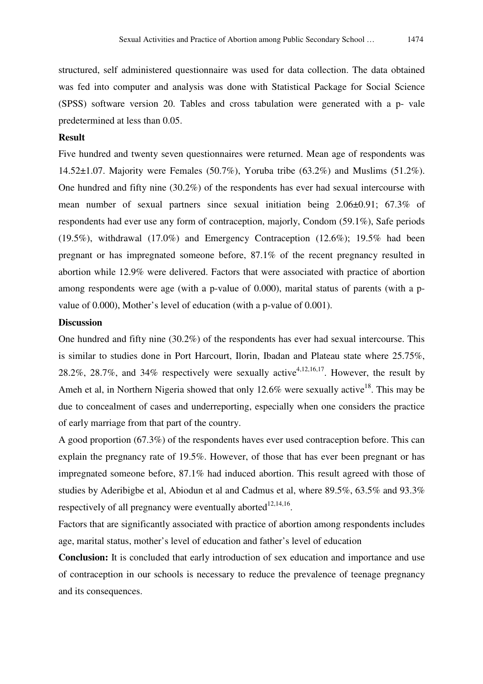structured, self administered questionnaire was used for data collection. The data obtained was fed into computer and analysis was done with Statistical Package for Social Science (SPSS) software version 20. Tables and cross tabulation were generated with a p- vale predetermined at less than 0.05.

## Result

Five hundred and twenty seven questionnaires were returned. Mean age of respondents was 14.52±1.07. Majority were Females (50.7%), Yoruba tribe (63.2%) and Muslims (51.2%). One hundred and fifty nine (30.2%) of the respondents has ever had sexual intercourse with mean number of sexual partners since sexual initiation being 2.06±0.91; 67.3% of respondents had ever use any form of contraception, majorly, Condom (59.1%), Safe periods (19.5%), withdrawal (17.0%) and Emergency Contraception (12.6%); 19.5% had been pregnant or has impregnated someone before, 87.1% of the recent pregnancy resulted in abortion while 12.9% were delivered. Factors that were associated with practice of abortion among respondents were age (with a p-value of 0.000), marital status of parents (with a pvalue of 0.000), Mother's level of education (with a p-value of 0.001).

#### **Discussion**

One hundred and fifty nine (30.2%) of the respondents has ever had sexual intercourse. This is similar to studies done in Port Harcourt, Ilorin, Ibadan and Plateau state where 25.75%, 28.2%, 28.7%, and 34% respectively were sexually active<sup>4,12,16,17</sup>. However, the result by Ameh et al, in Northern Nigeria showed that only 12.6% were sexually active<sup>18</sup>. This may be due to concealment of cases and underreporting, especially when one considers the practice of early marriage from that part of the country.

A good proportion (67.3%) of the respondents haves ever used contraception before. This can explain the pregnancy rate of 19.5%. However, of those that has ever been pregnant or has impregnated someone before, 87.1% had induced abortion. This result agreed with those of studies by Aderibigbe et al, Abiodun et al and Cadmus et al, where 89.5%, 63.5% and 93.3% respectively of all pregnancy were eventually aborted $12,14,16$ .

Factors that are significantly associated with practice of abortion among respondents includes age, marital status, mother's level of education and father's level of education

Conclusion: It is concluded that early introduction of sex education and importance and use of contraception in our schools is necessary to reduce the prevalence of teenage pregnancy and its consequences.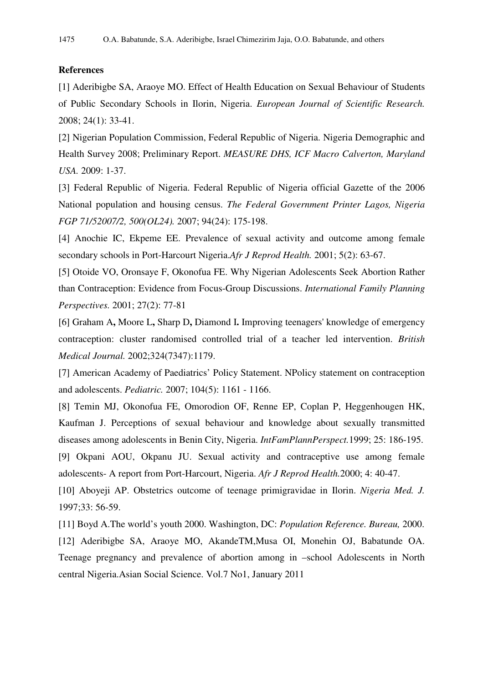#### References

[1] Aderibigbe SA, Araoye MO. Effect of Health Education on Sexual Behaviour of Students of Public Secondary Schools in Ilorin, Nigeria. European Journal of Scientific Research. 2008; 24(1): 33-41.

[2] Nigerian Population Commission, Federal Republic of Nigeria. Nigeria Demographic and Health Survey 2008; Preliminary Report. MEASURE DHS, ICF Macro Calverton, Maryland USA. 2009: 1-37.

[3] Federal Republic of Nigeria. Federal Republic of Nigeria official Gazette of the 2006 National population and housing census. The Federal Government Printer Lagos, Nigeria FGP 71/52007/2, 500(OL24). 2007; 94(24): 175-198.

[4] Anochie IC, Ekpeme EE. Prevalence of sexual activity and outcome among female secondary schools in Port-Harcourt Nigeria.Afr J Reprod Health. 2001; 5(2): 63-67.

[5] Otoide VO, Oronsaye F, Okonofua FE. Why Nigerian Adolescents Seek Abortion Rather than Contraception: Evidence from Focus-Group Discussions. International Family Planning Perspectives. 2001; 27(2): 77-81

[6] Graham A, Moore L, Sharp D, Diamond I. Improving teenagers' knowledge of emergency contraception: cluster randomised controlled trial of a teacher led intervention. British Medical Journal. 2002;324(7347):1179.

[7] American Academy of Paediatrics' Policy Statement. NPolicy statement on contraception and adolescents. Pediatric. 2007; 104(5): 1161 - 1166.

[8] Temin MJ, Okonofua FE, Omorodion OF, Renne EP, Coplan P, Heggenhougen HK, Kaufman J. Perceptions of sexual behaviour and knowledge about sexually transmitted diseases among adolescents in Benin City, Nigeria. IntFamPlannPerspect.1999; 25: 186-195. [9] Okpani AOU, Okpanu JU. Sexual activity and contraceptive use among female

adolescents- A report from Port-Harcourt, Nigeria. Afr J Reprod Health.2000; 4: 40-47.

[10] Aboyeji AP. Obstetrics outcome of teenage primigravidae in Ilorin. Nigeria Med. J. 1997;33: 56-59.

[11] Boyd A.The world's youth 2000. Washington, DC: Population Reference. Bureau, 2000. [12] Aderibigbe SA, Araoye MO, AkandeTM,Musa OI, Monehin OJ, Babatunde OA. Teenage pregnancy and prevalence of abortion among in –school Adolescents in North central Nigeria.Asian Social Science. Vol.7 No1, January 2011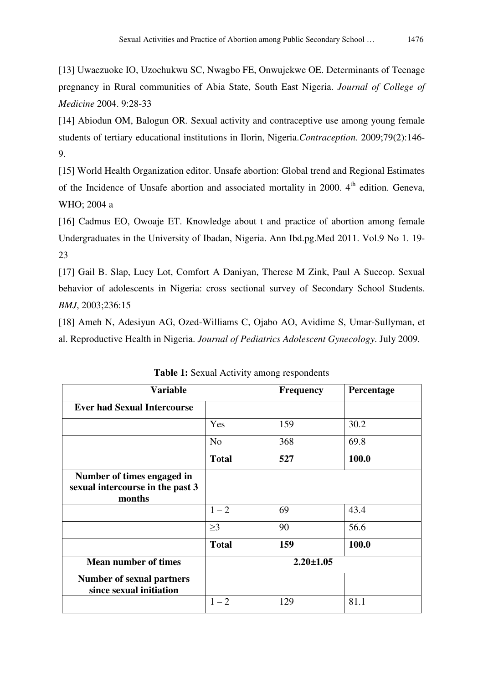[13] Uwaezuoke IO, Uzochukwu SC, Nwagbo FE, Onwujekwe OE. Determinants of Teenage pregnancy in Rural communities of Abia State, South East Nigeria. Journal of College of Medicine 2004. 9:28-33

[14] Abiodun OM, Balogun OR. Sexual activity and contraceptive use among young female students of tertiary educational institutions in Ilorin, Nigeria.Contraception. 2009;79(2):146- 9.

[15] World Health Organization editor. Unsafe abortion: Global trend and Regional Estimates of the Incidence of Unsafe abortion and associated mortality in 2000. 4<sup>th</sup> edition. Geneva, WHO; 2004 a

[16] Cadmus EO, Owoaje ET. Knowledge about t and practice of abortion among female Undergraduates in the University of Ibadan, Nigeria. Ann Ibd.pg.Med 2011. Vol.9 No 1. 19- 23

[17] Gail B. Slap, Lucy Lot, Comfort A Daniyan, Therese M Zink, Paul A Succop. Sexual behavior of adolescents in Nigeria: cross sectional survey of Secondary School Students. BMJ, 2003;236:15

[18] Ameh N, Adesiyun AG, Ozed-Williams C, Ojabo AO, Avidime S, Umar-Sullyman, et al. Reproductive Health in Nigeria. Journal of Pediatrics Adolescent Gynecology. July 2009.

| <b>Variable</b>                                                          |                 | Frequency | Percentage |
|--------------------------------------------------------------------------|-----------------|-----------|------------|
| <b>Ever had Sexual Intercourse</b>                                       |                 |           |            |
|                                                                          | Yes             | 159       | 30.2       |
|                                                                          | N <sub>o</sub>  | 368       | 69.8       |
|                                                                          | <b>Total</b>    | 527       | 100.0      |
| Number of times engaged in<br>sexual intercourse in the past 3<br>months |                 |           |            |
|                                                                          | $1 - 2$         | 69        | 43.4       |
|                                                                          | $\geq$ 3        | 90        | 56.6       |
|                                                                          | <b>Total</b>    | 159       | 100.0      |
| <b>Mean number of times</b>                                              | $2.20 \pm 1.05$ |           |            |
| <b>Number of sexual partners</b><br>since sexual initiation              |                 |           |            |
|                                                                          | $1 - 2$         | 129       | 81.1       |

Table 1: Sexual Activity among respondents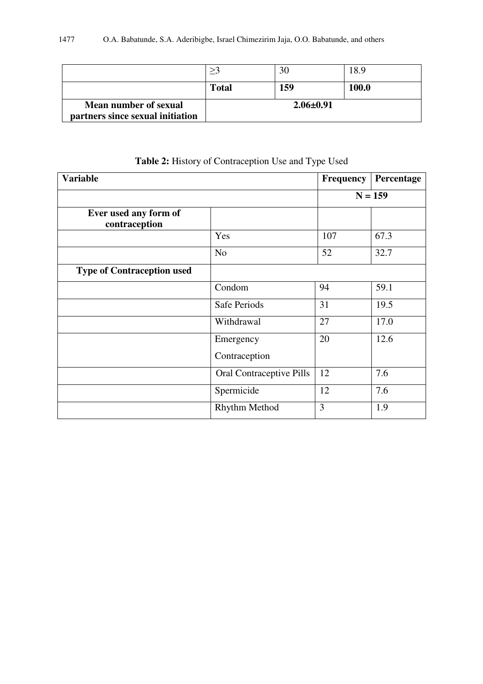|                                                           |                 | 30  | 18.9  |
|-----------------------------------------------------------|-----------------|-----|-------|
|                                                           | <b>Total</b>    | 159 | 100.0 |
| Mean number of sexual<br>partners since sexual initiation | $2.06 \pm 0.91$ |     |       |

| <b>Variable</b>                        |                            | <b>Frequency</b> | Percentage |
|----------------------------------------|----------------------------|------------------|------------|
|                                        |                            |                  | $N = 159$  |
| Ever used any form of<br>contraception |                            |                  |            |
|                                        | Yes                        | 107              | 67.3       |
|                                        | N <sub>o</sub>             | 52               | 32.7       |
| <b>Type of Contraception used</b>      |                            |                  |            |
|                                        | Condom                     | 94               | 59.1       |
|                                        | Safe Periods               | 31               | 19.5       |
|                                        | Withdrawal                 | 27               | 17.0       |
|                                        | Emergency<br>Contraception | 20               | 12.6       |
|                                        | Oral Contraceptive Pills   | 12               | 7.6        |
|                                        | Spermicide                 | 12               | 7.6        |
|                                        | Rhythm Method              | 3                | 1.9        |

Table 2: History of Contraception Use and Type Used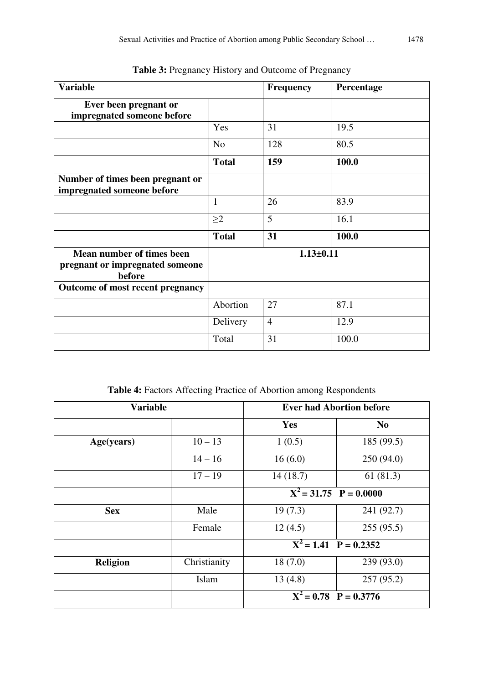| <b>Variable</b>                                                        |                | <b>Frequency</b> | Percentage |
|------------------------------------------------------------------------|----------------|------------------|------------|
| Ever been pregnant or<br>impregnated someone before                    |                |                  |            |
|                                                                        | Yes            | 31               | 19.5       |
|                                                                        | N <sub>o</sub> | 128              | 80.5       |
|                                                                        | <b>Total</b>   | 159              | 100.0      |
| Number of times been pregnant or<br>impregnated someone before         |                |                  |            |
|                                                                        | $\mathbf{1}$   | 26               | 83.9       |
|                                                                        | $\geq$ 2       | 5                | 16.1       |
|                                                                        | <b>Total</b>   | 31               | 100.0      |
| Mean number of times been<br>pregnant or impregnated someone<br>before |                | $1.13 \pm 0.11$  |            |
| <b>Outcome of most recent pregnancy</b>                                |                |                  |            |
|                                                                        | Abortion       | 27               | 87.1       |
|                                                                        | Delivery       | $\overline{4}$   | 12.9       |
|                                                                        | Total          | 31               | 100.0      |

Table 3: Pregnancy History and Outcome of Pregnancy

Table 4: Factors Affecting Practice of Abortion among Respondents

| <b>Variable</b> |              | <b>Ever had Abortion before</b>     |                |
|-----------------|--------------|-------------------------------------|----------------|
|                 |              | Yes                                 | N <sub>0</sub> |
| Age(years)      | $10 - 13$    | 1(0.5)                              | 185 (99.5)     |
|                 | $14 - 16$    | 16(6.0)                             | 250(94.0)      |
|                 | $17 - 19$    | 14(18.7)                            | 61(81.3)       |
|                 |              | $\overline{X^2} = 31.75$ P = 0.0000 |                |
| <b>Sex</b>      | Male         | 19(7.3)                             | 241 (92.7)     |
|                 | Female       | 12(4.5)                             | 255(95.5)      |
|                 |              | $X^2 = 1.41$ P = 0.2352             |                |
| <b>Religion</b> | Christianity | 18(7.0)                             | 239 (93.0)     |
|                 | Islam        | 13(4.8)                             | 257(95.2)      |
|                 |              | $X^2 = 0.78$ P = 0.3776             |                |